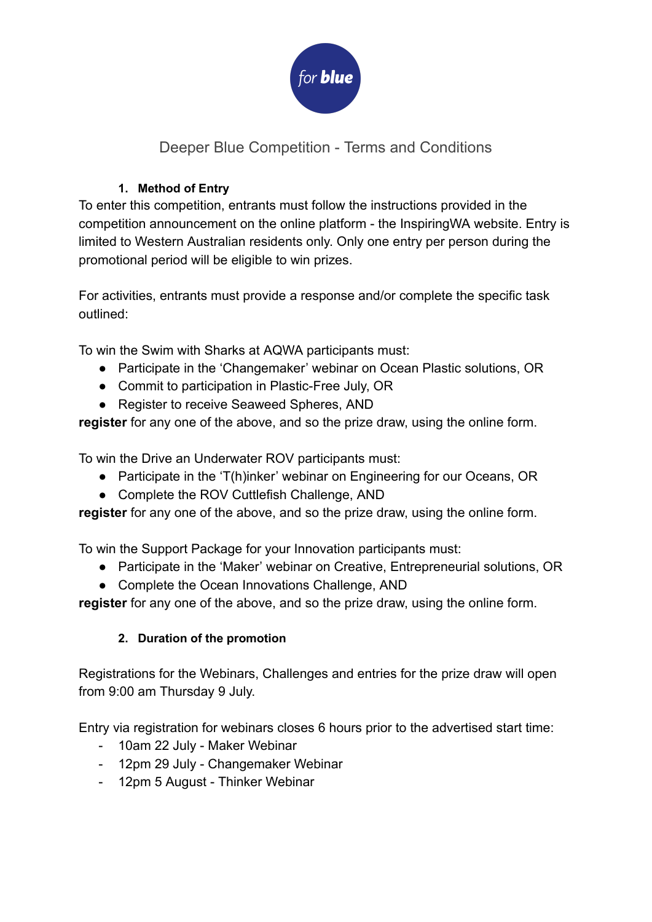

# Deeper Blue Competition - Terms and Conditions

#### **1. Method of Entry**

To enter this competition, entrants must follow the instructions provided in the competition announcement on the online platform - the InspiringWA website. Entry is limited to Western Australian residents only. Only one entry per person during the promotional period will be eligible to win prizes.

For activities, entrants must provide a response and/or complete the specific task outlined:

To win the Swim with Sharks at AQWA participants must:

- Participate in the 'Changemaker' webinar on Ocean Plastic solutions, OR
- Commit to participation in Plastic-Free July, OR
- Register to receive Seaweed Spheres, AND

**register** for any one of the above, and so the prize draw, using the online form.

To win the Drive an Underwater ROV participants must:

- Participate in the 'T(h)inker' webinar on Engineering for our Oceans, OR
- Complete the ROV Cuttlefish Challenge, AND

**register** for any one of the above, and so the prize draw, using the online form.

To win the Support Package for your Innovation participants must:

- Participate in the 'Maker' webinar on Creative, Entrepreneurial solutions, OR
- Complete the Ocean Innovations Challenge, AND

**register** for any one of the above, and so the prize draw, using the online form.

## **2. Duration of the promotion**

Registrations for the Webinars, Challenges and entries for the prize draw will open from 9:00 am Thursday 9 July.

Entry via registration for webinars closes 6 hours prior to the advertised start time:

- 10am 22 July Maker Webinar
- 12pm 29 July Changemaker Webinar
- 12pm 5 August Thinker Webinar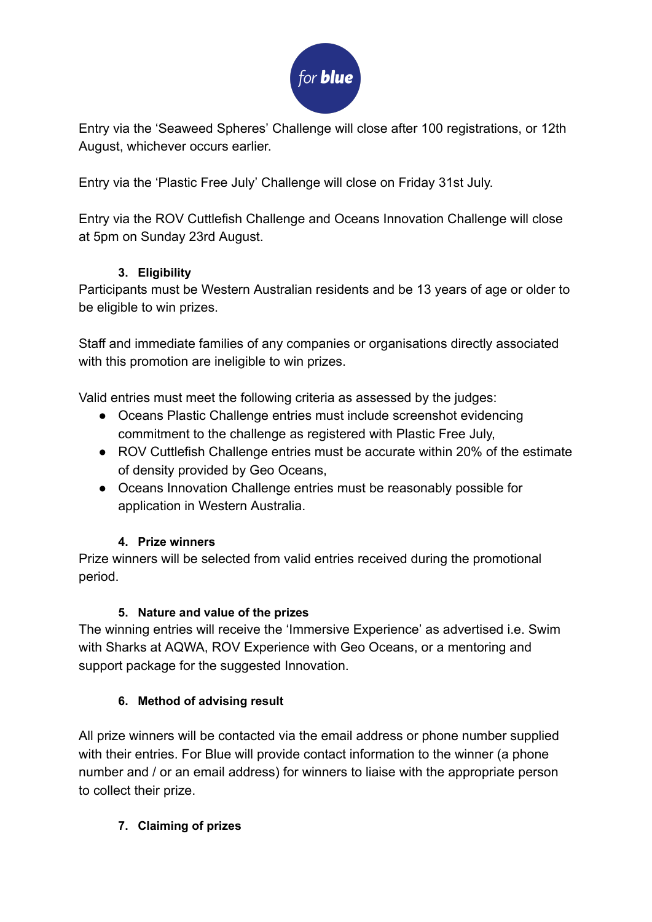

Entry via the 'Seaweed Spheres' Challenge will close after 100 registrations, or 12th August, whichever occurs earlier.

Entry via the 'Plastic Free July' Challenge will close on Friday 31st July.

Entry via the ROV Cuttlefish Challenge and Oceans Innovation Challenge will close at 5pm on Sunday 23rd August.

## **3. Eligibility**

Participants must be Western Australian residents and be 13 years of age or older to be eligible to win prizes.

Staff and immediate families of any companies or organisations directly associated with this promotion are ineligible to win prizes.

Valid entries must meet the following criteria as assessed by the judges:

- Oceans Plastic Challenge entries must include screenshot evidencing commitment to the challenge as registered with Plastic Free July,
- ROV Cuttlefish Challenge entries must be accurate within 20% of the estimate of density provided by Geo Oceans,
- Oceans Innovation Challenge entries must be reasonably possible for application in Western Australia.

## **4. Prize winners**

Prize winners will be selected from valid entries received during the promotional period.

## **5. Nature and value of the prizes**

The winning entries will receive the 'Immersive Experience' as advertised i.e. Swim with Sharks at AQWA, ROV Experience with Geo Oceans, or a mentoring and support package for the suggested Innovation.

## **6. Method of advising result**

All prize winners will be contacted via the email address or phone number supplied with their entries. For Blue will provide contact information to the winner (a phone number and / or an email address) for winners to liaise with the appropriate person to collect their prize.

## **7. Claiming of prizes**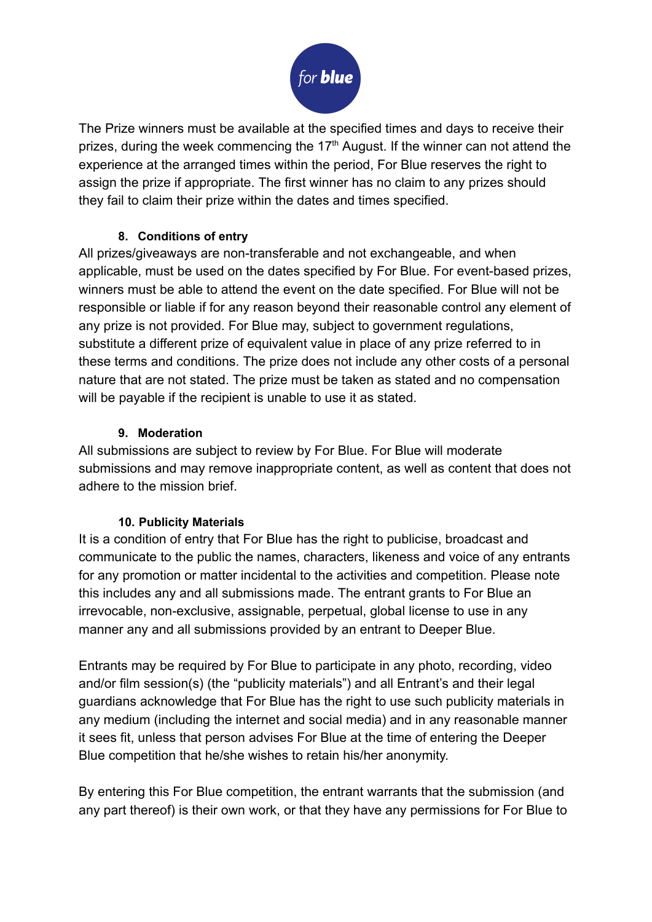

The Prize winners must be available at the specified times and days to receive their prizes, during the week commencing the  $17<sup>th</sup>$  August. If the winner can not attend the experience at the arranged times within the period, For Blue reserves the right to assign the prize if appropriate. The first winner has no claim to any prizes should they fail to claim their prize within the dates and times specified.

#### **8. Conditions of entry**

All prizes/giveaways are non-transferable and not exchangeable, and when applicable, must be used on the dates specified by For Blue. For event-based prizes, winners must be able to attend the event on the date specified. For Blue will not be responsible or liable if for any reason beyond their reasonable control any element of any prize is not provided. For Blue may, subject to government regulations, substitute a different prize of equivalent value in place of any prize referred to in these terms and conditions. The prize does not include any other costs of a personal nature that are not stated. The prize must be taken as stated and no compensation will be payable if the recipient is unable to use it as stated.

#### **9. Moderation**

All submissions are subject to review by For Blue. For Blue will moderate submissions and may remove inappropriate content, as well as content that does not adhere to the mission brief.

## **10. Publicity Materials**

It is a condition of entry that For Blue has the right to publicise, broadcast and communicate to the public the names, characters, likeness and voice of any entrants for any promotion or matter incidental to the activities and competition. Please note this includes any and all submissions made. The entrant grants to For Blue an irrevocable, non-exclusive, assignable, perpetual, global license to use in any manner any and all submissions provided by an entrant to Deeper Blue.

Entrants may be required by For Blue to participate in any photo, recording, video and/or film session(s) (the "publicity materials") and all Entrant's and their legal guardians acknowledge that For Blue has the right to use such publicity materials in any medium (including the internet and social media) and in any reasonable manner it sees fit, unless that person advises For Blue at the time of entering the Deeper Blue competition that he/she wishes to retain his/her anonymity.

By entering this For Blue competition, the entrant warrants that the submission (and any part thereof) is their own work, or that they have any permissions for For Blue to